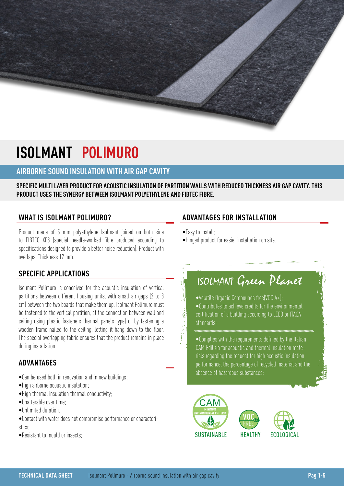# **ISOLMANT POLIMURO**

## **AIRBORNE SOUND INSULATION WITH AIR GAP CAVITY**

**SPECIFIC MULTI LAYER PRODUCT FOR ACOUSTIC INSULATION OF PARTITION WALLS WITH REDUCED THICKNESS AIR GAP CAVITY. THIS PRODUCT USES THE SYNERGY BETWEEN ISOLMANT POLYETHYLENE AND FIBTEC FIBRE.**

### **WHAT IS ISOLMANT POLIMURO?**

Product made of 5 mm polyethylene Isolmant joined on both side to FIBTEC XF3 (special needle-worked fibre produced according to specifications designed to provide a better noise reduction). Product with overlaps. Thickness 12 mm.

## **SPECIFIC APPLICATIONS**

Isolmant Polimuro is conceived for the acoustic insulation of vertical partitions between different housing units, with small air gaps (2 to 3 cm) between the two boards that make them up. Isolmant Polimuro must be fastened to the vertical partition, at the connection between wall and ceiling using plastic fasteners thermal panels type) or by fastening a wooden frame nailed to the ceiling, letting it hang down to the floor. The special overlapping fabric ensures that the product remains in place during installation

### **ADVANTAGES**

- •Can be used both in renovation and in new buildings;
- •High airborne acoustic insulation;
- •High thermal insulation thermal conductivity;
- •Unalterable over time;
- •Unlimited duration.
- •Contact with water does not compromise performance or characteristics:
- •Resistant to mould or insects;

## **ADVANTAGES FOR INSTALLATION**

 $\bullet$  Fasy to install $\cdot$ 

這

•Hinged product for easier installation on site.

## ISOLMANT Green Planet

•Volatile Organic Compounds free(VOC A+);

•Contributes to achieve credits for the environmental certification of a building according to LEED or ITACA standards;

•Complies with the requirements defined by the Italian CAM Edilizia for acoustic and thermal insulation materials regarding the request for high acoustic insulation performance, the percentage of recycled material and the absence of hazardous substances;





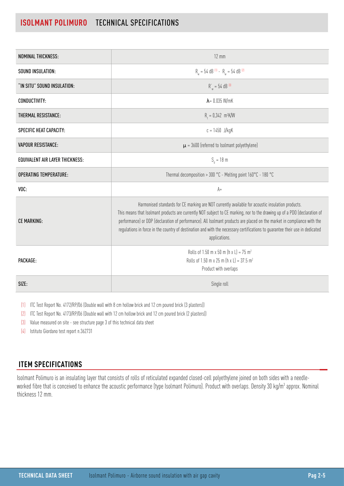## **ISOLMANT POLIMURO** TECHNICAL SPECIFICATIONS

| <b>NOMINAL THICKNESS:</b>              | $12 \text{ mm}$                                                                                                                                                                                                                                                                                                                                                                                                                                                                                            |  |
|----------------------------------------|------------------------------------------------------------------------------------------------------------------------------------------------------------------------------------------------------------------------------------------------------------------------------------------------------------------------------------------------------------------------------------------------------------------------------------------------------------------------------------------------------------|--|
| SOUND INSULATION:                      | $R_w = 54$ dB <sup>(1)</sup> - $R_w = 54$ dB <sup>(2)</sup>                                                                                                                                                                                                                                                                                                                                                                                                                                                |  |
| "IN SITU" SOUND INSULATION:            | $R_w = 54$ dB <sup>(3)</sup>                                                                                                                                                                                                                                                                                                                                                                                                                                                                               |  |
| <b>CONDUCTIVITY:</b>                   | $\lambda$ = 0.035 W/mK                                                                                                                                                                                                                                                                                                                                                                                                                                                                                     |  |
| THERMAL RESISTANCE:                    | $R_1 = 0.342 \text{ m}^2 \text{K/W}$                                                                                                                                                                                                                                                                                                                                                                                                                                                                       |  |
| SPECIFIC HEAT CAPACITY:                | $c = 1450$ J/kgK                                                                                                                                                                                                                                                                                                                                                                                                                                                                                           |  |
| <b>VAPOUR RESISTANCE:</b>              | $\mu$ = 3600 (referred to Isolmant polyethylene)                                                                                                                                                                                                                                                                                                                                                                                                                                                           |  |
| <b>EQUIVALENT AIR LAYER THICKNESS:</b> | $S_a = 18$ m                                                                                                                                                                                                                                                                                                                                                                                                                                                                                               |  |
| <b>OPERATING TEMPERATURE:</b>          | Thermal decomposition > 300 °C - Melting point 160°C - 180 °C                                                                                                                                                                                                                                                                                                                                                                                                                                              |  |
| VOC:                                   | $A+$                                                                                                                                                                                                                                                                                                                                                                                                                                                                                                       |  |
| <b>CE MARKING:</b>                     | Harmonised standards for CE marking are NOT currently available for acoustic insulation products.<br>This means that Isolmant products are currently NOT subject to CE marking, nor to the drawing up of a PDO (declaration of<br>performance) or DDP (declaration of performance). All Isolmant products are placed on the market in compliance with the<br>regulations in force in the country of destination and with the necessary certifications to guarantee their use in dedicated<br>applications. |  |
| PACKAGE:                               | Rolls of 1.50 m x 50 m (h x L) = 75 m <sup>2</sup><br>Rolls of 1.50 m x 25 m (h x L) = $37.5$ m <sup>2</sup><br>Product with overlaps                                                                                                                                                                                                                                                                                                                                                                      |  |
| SIZE:                                  | Single roll                                                                                                                                                                                                                                                                                                                                                                                                                                                                                                |  |

(1) ITC Test Report No. 4172/RP/06 (Double wall with 8 cm hollow brick and 12 cm poured brick (3 plasters))

(2) ITC Test Report No. 4173/RP/06 (Double wall with 12 cm hollow brick and 12 cm poured brick (2 plasters))

(3) Value measured on site - see structure page 3 of this technical data sheet

(4) Istituto Giordano test report n.362731

## **ITEM SPECIFICATIONS**

Isolmant Polimuro is an insulating layer that consists of rolls of reticulated expanded closed-cell polyethylene joined on both sides with a needleworked fibre that is conceived to enhance the acoustic performance (type Isolmant Polimuro). Product with overlaps. Density 30 kg/m<sup>3</sup> approx. Nominal thickness 12 mm.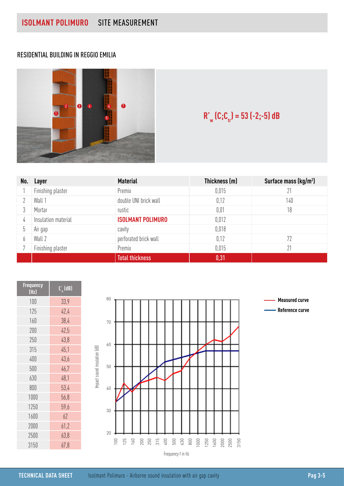### RESIDENTIAL BUILDING IN REGGIO EMILIA



## **R'<sub>w</sub>** (C;C<sub>tr</sub>) = 53 (-2;-5) dB

| No. | Layer               | <b>Material</b>          | Thickness (m) | Surface mass (kg/m <sup>2</sup> ) |
|-----|---------------------|--------------------------|---------------|-----------------------------------|
|     | Finishing plaster   | Premix                   | 0.015         | 21                                |
|     | Wall 1              | double UNI brick wall    | 0,12          | 140                               |
|     | Mortar              | rustic                   | 0,01          | 18                                |
| 4   | Insulation material | <b>ISOLMANT POLIMURO</b> | 0.012         |                                   |
| უ   | Air gap             | cavity                   | 0.018         |                                   |
| b   | Wall 2              | perforated brick wall    | 0,12          | 72                                |
|     | Finishing plaster   | Premix                   | 0.015         | 21                                |
|     |                     | <b>Total thickness</b>   | 0,31          |                                   |

| <b>Frequency</b><br>(Hz) | $L'$ (dB) |  |
|--------------------------|-----------|--|
| 100                      | 33,9      |  |
| 125                      | 42.4      |  |
| 160                      | 38,4      |  |
| 200                      | 42,5      |  |
| 250                      | 43,8      |  |
| 315                      | 45,1      |  |
| 400                      | 43,6      |  |
| 500                      | 46,7      |  |
| 630                      | 48,1      |  |
| 800                      | 53,4      |  |
| 1000                     | 56,8      |  |
| 1250                     | 59,6      |  |
| 1600                     | 62        |  |
| 2000                     | 61,2      |  |
| 2500                     | 63,8      |  |
| 3150                     | 67.8      |  |



**Measured curve Reference curve**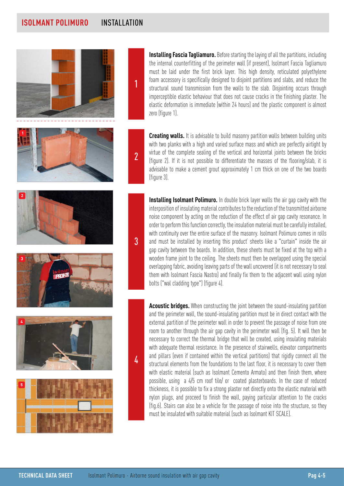## **ISOLMANT POLIMURO** INSTALLATION

1

 $\overline{\mathfrak{z}}$ 

3

4











**Installing Fascia Tagliamuro.** Before starting the laying of all the partitions, including the internal counterfitting of the perimeter wall (if present), Isolmant Fascia Tagliamuro must be laid under the first brick layer. This high density, reticulated polyethylene foam accessory is specifically designed to disjoint partitions and slabs, and reduce the structural sound transmission from the walls to the slab. Disjointing occurs through imperceptible elastic behaviour that does not cause cracks in the finishing plaster. The elastic deformation is immediate (within 24 hours) and the plastic component is almost zero (figure 1).

**Creating walls.** It is advisable to build masonry partition walls between building units with two planks with a high and varied surface mass and which are perfectly airtight by virtue of the complete sealing of the vertical and horizontal joints between the bricks (figure 2). If it is not possible to differentiate the masses of the flooring/slab, it is advisable to make a cement grout approximately 1 cm thick on one of the two boards (figure 3).

**Installing Isolmant Polimuro.** In double brick layer walls the air gap cavity with the interposition of insulating material contributes to the reduction of the transmitted airborne noise component by acting on the reduction of the effect of air gap cavity resonance. In order to perform this function correctly, the insulation material must be carefully installed, with continuity over the entire surface of the masonry. Isolmant Polimuro comes in rolls and must be installed by inserting this product' sheets like a "curtain" inside the air gap cavity between the boards. In addition, these sheets must be fixed at the top with a wooden frame joint to the ceiling. The sheets must then be overlapped using the special overlapping fabric, avoiding leaving parts of the wall uncovered (it is not necessary to seal them with Isolmant Fascia Nastro) and finally fix them to the adjacent wall using nylon bolts ("wal cladding type") (figure 4).

**Acoustic bridges.** When constructing the joint between the sound-insulating partition and the perimeter wall, the sound-insulating partition must be in direct contact with the external partition of the perimeter wall in order to prevent the passage of noise from one room to another through the air gap cavity in the perimeter wall (fig. 5). It will then be necessary to correct the thermal bridge that will be created, using insulating materials with adequate thermal resistance. In the presence of stairwells, elevator compartments and pillars (even if contained within the vertical partitions) that rigidly connect all the structural elements from the foundations to the last floor, it is necessary to cover them with elastic material (such as Isolmant Cemento Armato) and then finish them, where possible, using a 4/5 cm roof tile/ or coated plasterboards. In the case of reduced thickness, it is possible to fix a strong plaster net directly onto the elastic material with nylon plugs, and proceed to finish the wall, paying particular attention to the cracks (fig.6). Stairs can also be a vehicle for the passage of noise into the structure, so they must be insulated with suitable material (such as Isolmant KIT SCALE).